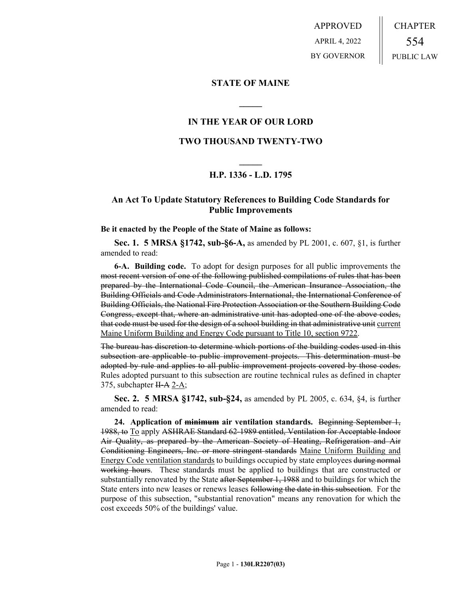APPROVED APRIL 4, 2022 BY GOVERNOR CHAPTER 554 PUBLIC LAW

## **STATE OF MAINE**

## **IN THE YEAR OF OUR LORD**

**\_\_\_\_\_**

## **TWO THOUSAND TWENTY-TWO**

# **\_\_\_\_\_ H.P. 1336 - L.D. 1795**

## **An Act To Update Statutory References to Building Code Standards for Public Improvements**

**Be it enacted by the People of the State of Maine as follows:**

**Sec. 1. 5 MRSA §1742, sub-§6-A,** as amended by PL 2001, c. 607, §1, is further amended to read:

**6-A. Building code.** To adopt for design purposes for all public improvements the most recent version of one of the following published compilations of rules that has been prepared by the International Code Council, the American Insurance Association, the Building Officials and Code Administrators International, the International Conference of Building Officials, the National Fire Protection Association or the Southern Building Code Congress, except that, where an administrative unit has adopted one of the above codes, that code must be used for the design of a school building in that administrative unit current Maine Uniform Building and Energy Code pursuant to Title 10, section 9722.

The bureau has discretion to determine which portions of the building codes used in this subsection are applicable to public improvement projects. This determination must be adopted by rule and applies to all public improvement projects covered by those codes. Rules adopted pursuant to this subsection are routine technical rules as defined in chapter 375, subchapter  $H-A$  2-A;

**Sec. 2. 5 MRSA §1742, sub-§24,** as amended by PL 2005, c. 634, §4, is further amended to read:

**24. Application of minimum air ventilation standards.** Beginning September 1, 1988, to To apply ASHRAE Standard 62-1989 entitled, Ventilation for Acceptable Indoor Air Quality, as prepared by the American Society of Heating, Refrigeration and Air Conditioning Engineers, Inc. or more stringent standards Maine Uniform Building and Energy Code ventilation standards to buildings occupied by state employees during normal working hours. These standards must be applied to buildings that are constructed or substantially renovated by the State after September 1, 1988 and to buildings for which the State enters into new leases or renews leases following the date in this subsection. For the purpose of this subsection, "substantial renovation" means any renovation for which the cost exceeds 50% of the buildings' value.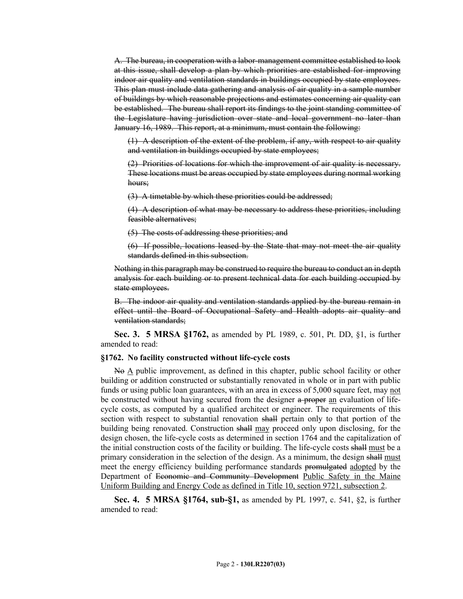A. The bureau, in cooperation with a labor-management committee established to look at this issue, shall develop a plan by which priorities are established for improving indoor air quality and ventilation standards in buildings occupied by state employees. This plan must include data gathering and analysis of air quality in a sample number of buildings by which reasonable projections and estimates concerning air quality can be established. The bureau shall report its findings to the joint standing committee of the Legislature having jurisdiction over state and local government no later than January 16, 1989. This report, at a minimum, must contain the following:

(1) A description of the extent of the problem, if any, with respect to air quality and ventilation in buildings occupied by state employees;

(2) Priorities of locations for which the improvement of air quality is necessary. These locations must be areas occupied by state employees during normal working hours;

(3) A timetable by which these priorities could be addressed;

(4) A description of what may be necessary to address these priorities, including feasible alternatives;

(5) The costs of addressing these priorities; and

(6) If possible, locations leased by the State that may not meet the air quality standards defined in this subsection.

Nothing in this paragraph may be construed to require the bureau to conduct an in depth analysis for each building or to present technical data for each building occupied by state employees.

B. The indoor air quality and ventilation standards applied by the bureau remain in effect until the Board of Occupational Safety and Health adopts air quality and ventilation standards;

**Sec. 3. 5 MRSA §1762,** as amended by PL 1989, c. 501, Pt. DD, §1, is further amended to read:

### **§1762. No facility constructed without life-cycle costs**

No A public improvement, as defined in this chapter, public school facility or other building or addition constructed or substantially renovated in whole or in part with public funds or using public loan guarantees, with an area in excess of 5,000 square feet, may not be constructed without having secured from the designer a proper an evaluation of lifecycle costs, as computed by a qualified architect or engineer. The requirements of this section with respect to substantial renovation shall pertain only to that portion of the building being renovated. Construction shall may proceed only upon disclosing, for the design chosen, the life-cycle costs as determined in section 1764 and the capitalization of the initial construction costs of the facility or building. The life-cycle costs shall must be a primary consideration in the selection of the design. As a minimum, the design shall must meet the energy efficiency building performance standards promulgated adopted by the Department of Economic and Community Development Public Safety in the Maine Uniform Building and Energy Code as defined in Title 10, section 9721, subsection 2.

**Sec. 4. 5 MRSA §1764, sub-§1,** as amended by PL 1997, c. 541, §2, is further amended to read: